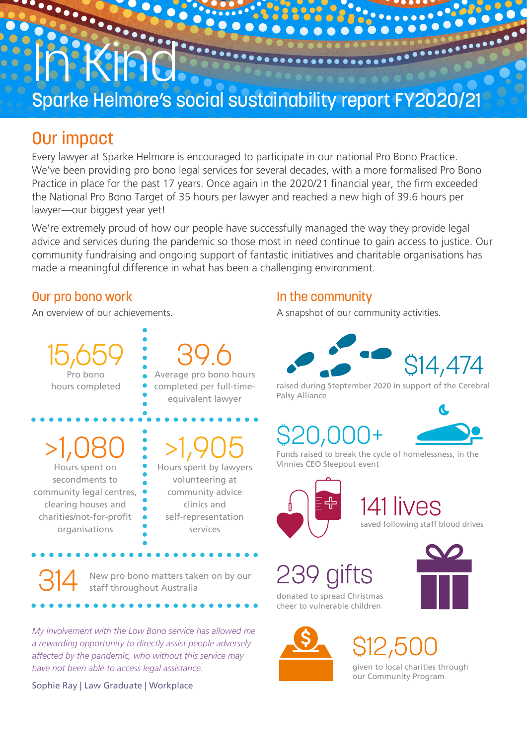# **IN RECEIVED** Sparke Helmore's social sustainability report FY2020/21

#### Our impact

Every lawyer at Sparke Helmore is encouraged to participate in our national Pro Bono Practice. We've been providing pro bono legal services for several decades, with a more formalised Pro Bono Practice in place for the past 17 years. Once again in the 2020/21 financial year, the firm exceeded the National Pro Bono Target of 35 hours per lawyer and reached a new high of 39.6 hours per lawyer—our biggest year yet!

We're extremely proud of how our people have successfully managed the way they provide legal advice and services during the pandemic so those most in need continue to gain access to justice. Our community fundraising and ongoing support of fantastic initiatives and charitable organisations has made a meaningful difference in what has been a challenging environment.

#### Our pro bono work

An overview of our achievements.

15,659 Pro bono hours completed

39.6 Average pro bono hours completed per full-timeequivalent lawyer

>1,080

Hours spent on secondments to community legal centres, clearing houses and charities/not-for-profit organisations

314

#### >1,905 Hours spent by lawyers volunteering at community advice

clinics and self-representation services

New pro bono matters taken on by our staff throughout Australia

*My involvement with the Low Bono service has allowed me a rewarding opportunity to directly assist people adversely affected by the pandemic, who without this service may have not been able to access legal assistance.*

Sophie Ray | Law Graduate | Workplace

#### In the community

A snapshot of our community activities.



raised during Steptember 2020 in support of the Cerebral Palsy Alliance

### \$20,000+



Funds raised to break the cycle of homelessness, in the Vinnies CEO Sleepout event



lives

saved following staff blood drives



cheer to vulnerable children





#### \$12,500 given to local charities through our Community Program